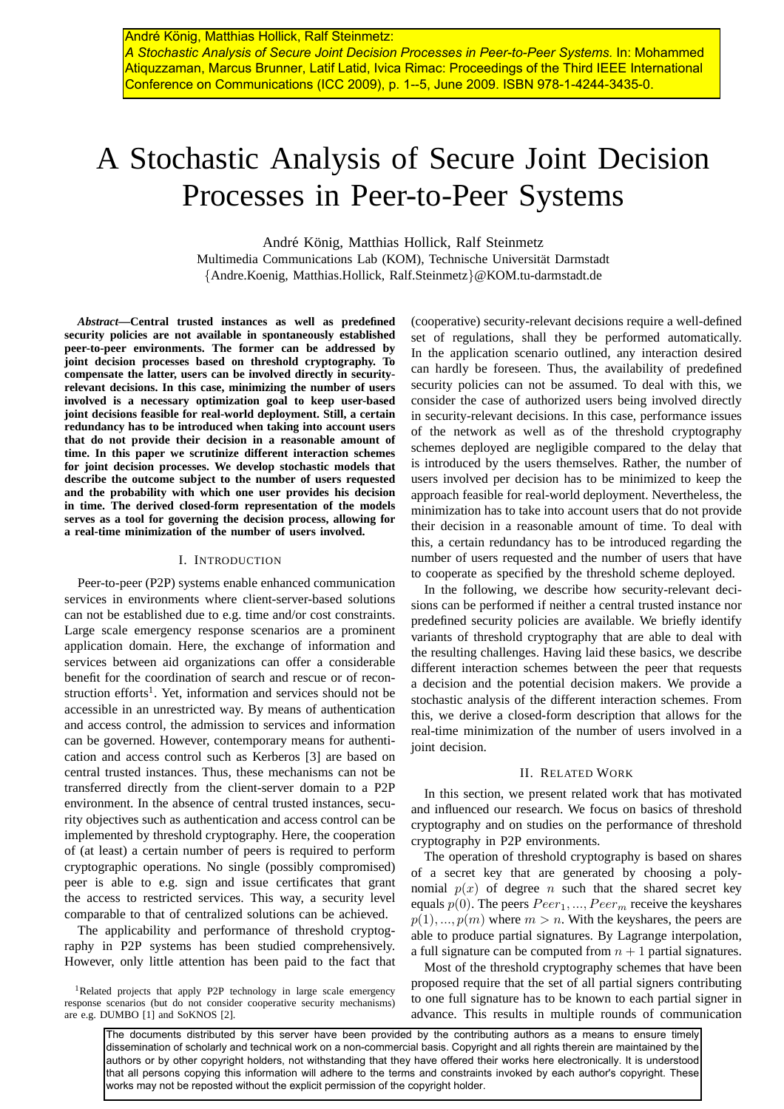# A Stochastic Analysis of Secure Joint Decision Processes in Peer-to-Peer Systems

André König, Matthias Hollick, Ralf Steinmetz

Multimedia Communications Lab (KOM), Technische Universität Darmstadt {Andre.Koenig, Matthias.Hollick, Ralf.Steinmetz}@KOM.tu-darmstadt.de

*Abstract***—Central trusted instances as well as predefined security policies are not available in spontaneously established peer-to-peer environments. The former can be addressed by joint decision processes based on threshold cryptography. To compensate the latter, users can be involved directly in securityrelevant decisions. In this case, minimizing the number of users involved is a necessary optimization goal to keep user-based joint decisions feasible for real-world deployment. Still, a certain redundancy has to be introduced when taking into account users that do not provide their decision in a reasonable amount of time. In this paper we scrutinize different interaction schemes for joint decision processes. We develop stochastic models that describe the outcome subject to the number of users requested and the probability with which one user provides his decision in time. The derived closed-form representation of the models serves as a tool for governing the decision process, allowing for a real-time minimization of the number of users involved.**

#### I. INTRODUCTION

Peer-to-peer (P2P) systems enable enhanced communication services in environments where client-server-based solutions can not be established due to e.g. time and/or cost constraints. Large scale emergency response scenarios are a prominent application domain. Here, the exchange of information and services between aid organizations can offer a considerable benefit for the coordination of search and rescue or of reconstruction efforts<sup>1</sup>. Yet, information and services should not be accessible in an unrestricted way. By means of authentication and access control, the admission to services and information can be governed. However, contemporary means for authentication and access control such as Kerberos [3] are based on central trusted instances. Thus, these mechanisms can not be transferred directly from the client-server domain to a P2P environment. In the absence of central trusted instances, security objectives such as authentication and access control can be implemented by threshold cryptography. Here, the cooperation of (at least) a certain number of peers is required to perform cryptographic operations. No single (possibly compromised) peer is able to e.g. sign and issue certificates that grant the access to restricted services. This way, a security level comparable to that of centralized solutions can be achieved.

The applicability and performance of threshold cryptography in P2P systems has been studied comprehensively. However, only little attention has been paid to the fact that

<sup>1</sup>Related projects that apply P2P technology in large scale emergency response scenarios (but do not consider cooperative security mechanisms) are e.g. DUMBO [1] and SoKNOS [2].

(cooperative) security-relevant decisions require a well-defined set of regulations, shall they be performed automatically. In the application scenario outlined, any interaction desired can hardly be foreseen. Thus, the availability of predefined security policies can not be assumed. To deal with this, we consider the case of authorized users being involved directly in security-relevant decisions. In this case, performance issues of the network as well as of the threshold cryptography schemes deployed are negligible compared to the delay that is introduced by the users themselves. Rather, the number of users involved per decision has to be minimized to keep the approach feasible for real-world deployment. Nevertheless, the minimization has to take into account users that do not provide their decision in a reasonable amount of time. To deal with this, a certain redundancy has to be introduced regarding the number of users requested and the number of users that have to cooperate as specified by the threshold scheme deployed.

In the following, we describe how security-relevant decisions can be performed if neither a central trusted instance nor predefined security policies are available. We briefly identify variants of threshold cryptography that are able to deal with the resulting challenges. Having laid these basics, we describe different interaction schemes between the peer that requests a decision and the potential decision makers. We provide a stochastic analysis of the different interaction schemes. From this, we derive a closed-form description that allows for the real-time minimization of the number of users involved in a joint decision.

#### II. RELATED WORK

In this section, we present related work that has motivated and influenced our research. We focus on basics of threshold cryptography and on studies on the performance of threshold cryptography in P2P environments.

The operation of threshold cryptography is based on shares of a secret key that are generated by choosing a polynomial  $p(x)$  of degree n such that the shared secret key equals  $p(0)$ . The peers  $Peer_1, ..., Peer_m$  receive the keyshares  $p(1),..., p(m)$  where  $m > n$ . With the keyshares, the peers are able to produce partial signatures. By Lagrange interpolation, a full signature can be computed from  $n + 1$  partial signatures.

Most of the threshold cryptography schemes that have been proposed require that the set of all partial signers contributing to one full signature has to be known to each partial signer in advance. This results in multiple rounds of communication

The documents distributed by this server have been provided by the contributing authors as a means to ensure timely dissemination of scholarly and technical work on a non-commercial basis. Copyright and all rights therein are maintained by the authors or by other copyright holders, not withstanding that they have offered their works here electronically. It is understood that all persons copying this information will adhere to the terms and constraints invoked by each author's copyright. These works may not be reposted without the explicit permission of the copyright holder.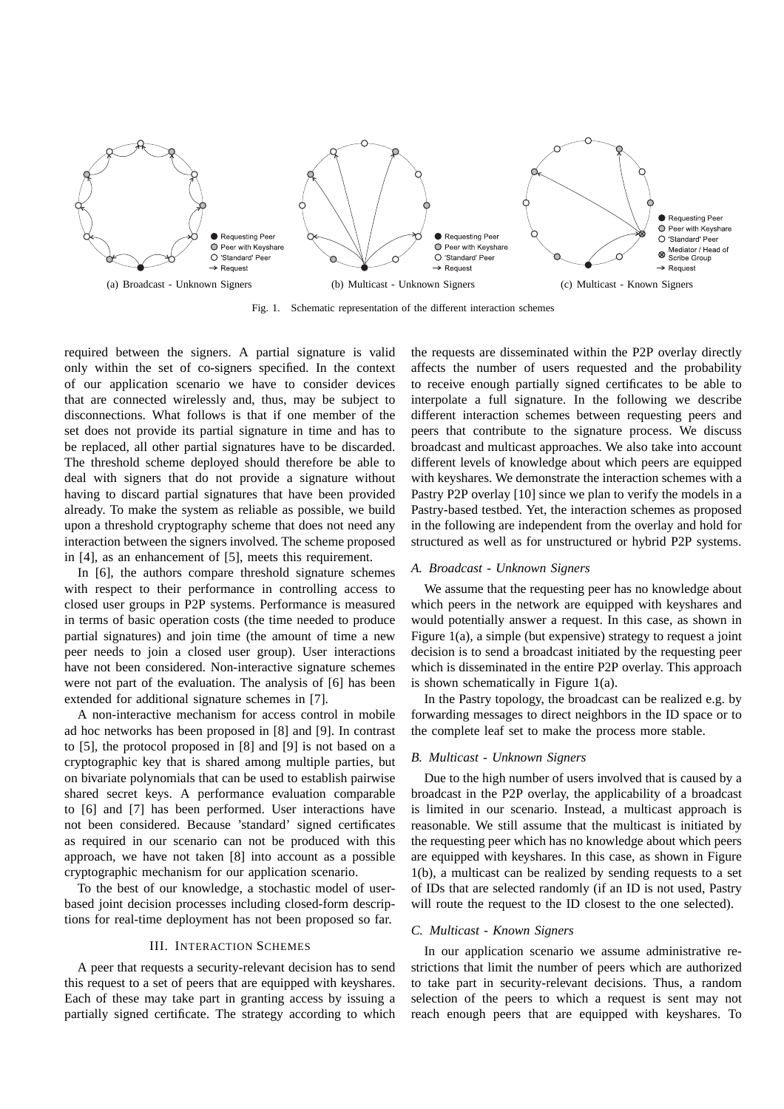

Fig. 1. Schematic representation of the different interaction schemes

required between the signers. A partial signature is valid only within the set of co-signers specified. In the context of our application scenario we have to consider devices that are connected wirelessly and, thus, may be subject to disconnections. What follows is that if one member of the set does not provide its partial signature in time and has to be replaced, all other partial signatures have to be discarded. The threshold scheme deployed should therefore be able to deal with signers that do not provide a signature without having to discard partial signatures that have been provided already. To make the system as reliable as possible, we build upon a threshold cryptography scheme that does not need any interaction between the signers involved. The scheme proposed in [4], as an enhancement of [5], meets this requirement.

In [6], the authors compare threshold signature schemes with respect to their performance in controlling access to closed user groups in P2P systems. Performance is measured in terms of basic operation costs (the time needed to produce partial signatures) and join time (the amount of time a new peer needs to join a closed user group). User interactions have not been considered. Non-interactive signature schemes were not part of the evaluation. The analysis of [6] has been extended for additional signature schemes in [7].

A non-interactive mechanism for access control in mobile ad hoc networks has been proposed in [8] and [9]. In contrast to [5], the protocol proposed in [8] and [9] is not based on a cryptographic key that is shared among multiple parties, but on bivariate polynomials that can be used to establish pairwise shared secret keys. A performance evaluation comparable to [6] and [7] has been performed. User interactions have not been considered. Because 'standard' signed certificates as required in our scenario can not be produced with this approach, we have not taken [8] into account as a possible cryptographic mechanism for our application scenario.

To the best of our knowledge, a stochastic model of userbased joint decision processes including closed-form descriptions for real-time deployment has not been proposed so far.

#### III. INTERACTION SCHEMES

A peer that requests a security-relevant decision has to send this request to a set of peers that are equipped with keyshares. Each of these may take part in granting access by issuing a partially signed certificate. The strategy according to which the requests are disseminated within the P2P overlay directly affects the number of users requested and the probability to receive enough partially signed certificates to be able to interpolate a full signature. In the following we describe different interaction schemes between requesting peers and peers that contribute to the signature process. We discuss broadcast and multicast approaches. We also take into account different levels of knowledge about which peers are equipped with keyshares. We demonstrate the interaction schemes with a Pastry P2P overlay [10] since we plan to verify the models in a Pastry-based testbed. Yet, the interaction schemes as proposed in the following are independent from the overlay and hold for structured as well as for unstructured or hybrid P2P systems.

## *A. Broadcast - Unknown Signers*

We assume that the requesting peer has no knowledge about which peers in the network are equipped with keyshares and would potentially answer a request. In this case, as shown in Figure 1(a), a simple (but expensive) strategy to request a joint decision is to send a broadcast initiated by the requesting peer which is disseminated in the entire P2P overlay. This approach is shown schematically in Figure 1(a).

In the Pastry topology, the broadcast can be realized e.g. by forwarding messages to direct neighbors in the ID space or to the complete leaf set to make the process more stable.

#### *B. Multicast - Unknown Signers*

Due to the high number of users involved that is caused by a broadcast in the P2P overlay, the applicability of a broadcast is limited in our scenario. Instead, a multicast approach is reasonable. We still assume that the multicast is initiated by the requesting peer which has no knowledge about which peers are equipped with keyshares. In this case, as shown in Figure 1(b), a multicast can be realized by sending requests to a set of IDs that are selected randomly (if an ID is not used, Pastry will route the request to the ID closest to the one selected).

## *C. Multicast - Known Signers*

In our application scenario we assume administrative restrictions that limit the number of peers which are authorized to take part in security-relevant decisions. Thus, a random selection of the peers to which a request is sent may not reach enough peers that are equipped with keyshares. To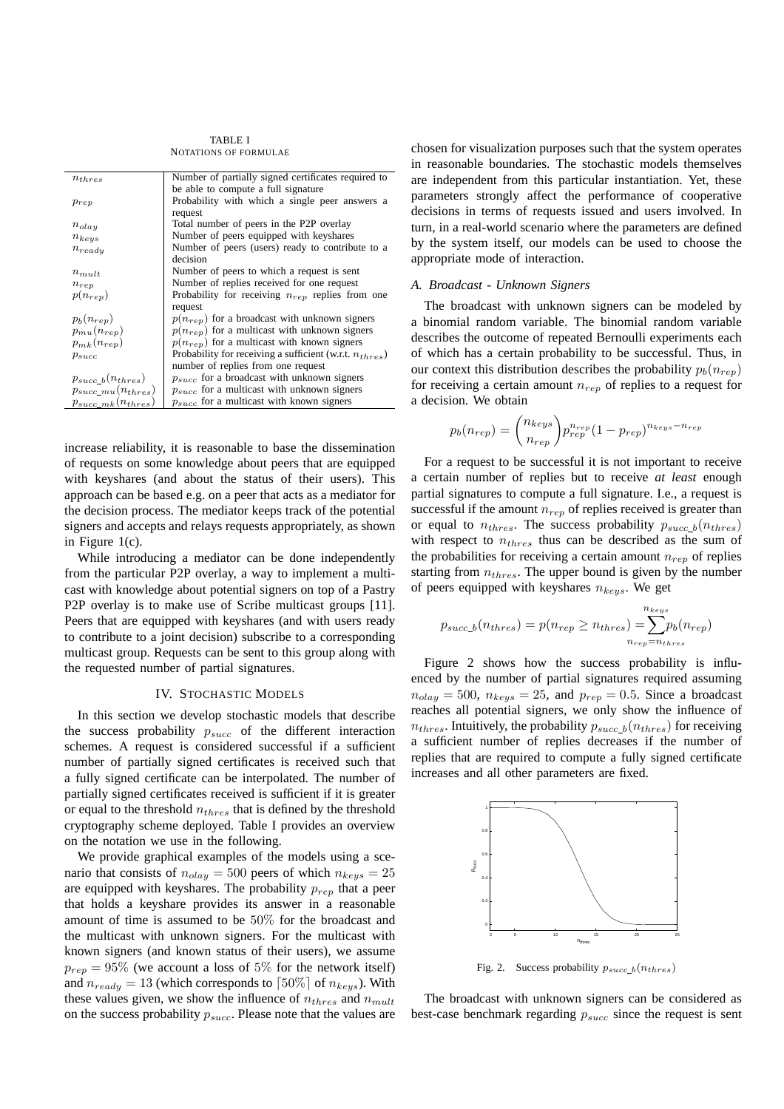TABLE I NOTATIONS OF FORMULAE

| $n_{thres}$               | Number of partially signed certificates required to          |
|---------------------------|--------------------------------------------------------------|
|                           | be able to compute a full signature                          |
| $p_{rep}$                 | Probability with which a single peer answers a               |
|                           | request                                                      |
| $n_{olay}$                | Total number of peers in the P2P overlay                     |
| $n_{keys}$                | Number of peers equipped with keyshares                      |
| $n_{ready}$               | Number of peers (users) ready to contribute to a             |
|                           | decision                                                     |
| $n_{mult}$                | Number of peers to which a request is sent                   |
| $n_{rep}$                 | Number of replies received for one request                   |
| $p(n_{rep})$              | Probability for receiving $n_{rep}$ replies from one         |
|                           | request                                                      |
| $p_b(n_{rep})$            | $p(n_{rep})$ for a broadcast with unknown signers            |
| $p_{mu}(n_{rep})$         | $p(n_{rep})$ for a multicast with unknown signers            |
| $p_{mk}(n_{rep})$         | $p(n_{ren})$ for a multicast with known signers              |
| $p_{succ}$                | Probability for receiving a sufficient (w.r.t. $n_{thres}$ ) |
|                           | number of replies from one request                           |
| $p_{succ~b}(n_{thres})$   | $p_{succ}$ for a broadcast with unknown signers              |
| $p_{succ\_mu}(n_{thres})$ | $p_{succ}$ for a multicast with unknown signers              |
| $p_{succ\_mk}(n_{thres})$ | $p_{succ}$ for a multicast with known signers                |
|                           |                                                              |

increase reliability, it is reasonable to base the dissemination of requests on some knowledge about peers that are equipped with keyshares (and about the status of their users). This approach can be based e.g. on a peer that acts as a mediator for the decision process. The mediator keeps track of the potential signers and accepts and relays requests appropriately, as shown in Figure 1(c).

While introducing a mediator can be done independently from the particular P2P overlay, a way to implement a multicast with knowledge about potential signers on top of a Pastry P2P overlay is to make use of Scribe multicast groups [11]. Peers that are equipped with keyshares (and with users ready to contribute to a joint decision) subscribe to a corresponding multicast group. Requests can be sent to this group along with the requested number of partial signatures.

#### IV. STOCHASTIC MODELS

In this section we develop stochastic models that describe the success probability  $p_{succ}$  of the different interaction schemes. A request is considered successful if a sufficient number of partially signed certificates is received such that a fully signed certificate can be interpolated. The number of partially signed certificates received is sufficient if it is greater or equal to the threshold  $n_{thres}$  that is defined by the threshold cryptography scheme deployed. Table I provides an overview on the notation we use in the following.

We provide graphical examples of the models using a scenario that consists of  $n_{olay} = 500$  peers of which  $n_{keys} = 25$ are equipped with keyshares. The probability  $p_{rep}$  that a peer that holds a keyshare provides its answer in a reasonable amount of time is assumed to be 50% for the broadcast and the multicast with unknown signers. For the multicast with known signers (and known status of their users), we assume  $p_{rep} = 95\%$  (we account a loss of 5% for the network itself) and  $n_{ready} = 13$  (which corresponds to  $\lceil 50\% \rceil$  of  $n_{keys}$ ). With these values given, we show the influence of  $n_{thres}$  and  $n_{mult}$ on the success probability  $p_{succ}$ . Please note that the values are chosen for visualization purposes such that the system operates in reasonable boundaries. The stochastic models themselves are independent from this particular instantiation. Yet, these parameters strongly affect the performance of cooperative decisions in terms of requests issued and users involved. In turn, in a real-world scenario where the parameters are defined by the system itself, our models can be used to choose the appropriate mode of interaction.

## *A. Broadcast - Unknown Signers*

The broadcast with unknown signers can be modeled by a binomial random variable. The binomial random variable describes the outcome of repeated Bernoulli experiments each of which has a certain probability to be successful. Thus, in our context this distribution describes the probability  $p_b(n_{ren})$ for receiving a certain amount  $n_{rep}$  of replies to a request for a decision. We obtain

$$
p_b(n_{rep}) = {n_{keys} \choose n_{rep}} p_{rep}^{n_{rep}} (1 - p_{rep})^{n_{keys} - n_{rep}}
$$

For a request to be successful it is not important to receive a certain number of replies but to receive *at least* enough partial signatures to compute a full signature. I.e., a request is successful if the amount  $n_{rep}$  of replies received is greater than or equal to  $n_{thres}$ . The success probability  $p_{succ\_b}(n_{thres})$ with respect to  $n_{thres}$  thus can be described as the sum of the probabilities for receiving a certain amount  $n_{rep}$  of replies starting from  $n_{thres}$ . The upper bound is given by the number of peers equipped with keyshares  $n_{keys}$ . We get

$$
p_{succ\_b}(n_{thres}) = p(n_{rep} \ge n_{thres}) = \sum_{n_{rep}=n_{thres}}^{n_{keys}} p_b(n_{rep})
$$

Figure 2 shows how the success probability is influenced by the number of partial signatures required assuming  $n_{olay} = 500$ ,  $n_{keys} = 25$ , and  $p_{rep} = 0.5$ . Since a broadcast reaches all potential signers, we only show the influence of  $n_{thres}$ . Intuitively, the probability  $p_{succ_b}(n_{thres})$  for receiving a sufficient number of replies decreases if the number of replies that are required to compute a fully signed certificate increases and all other parameters are fixed.



Fig. 2. Success probability  $p_{succ\_b}(n_{thres})$ 

The broadcast with unknown signers can be considered as best-case benchmark regarding  $p_{succ}$  since the request is sent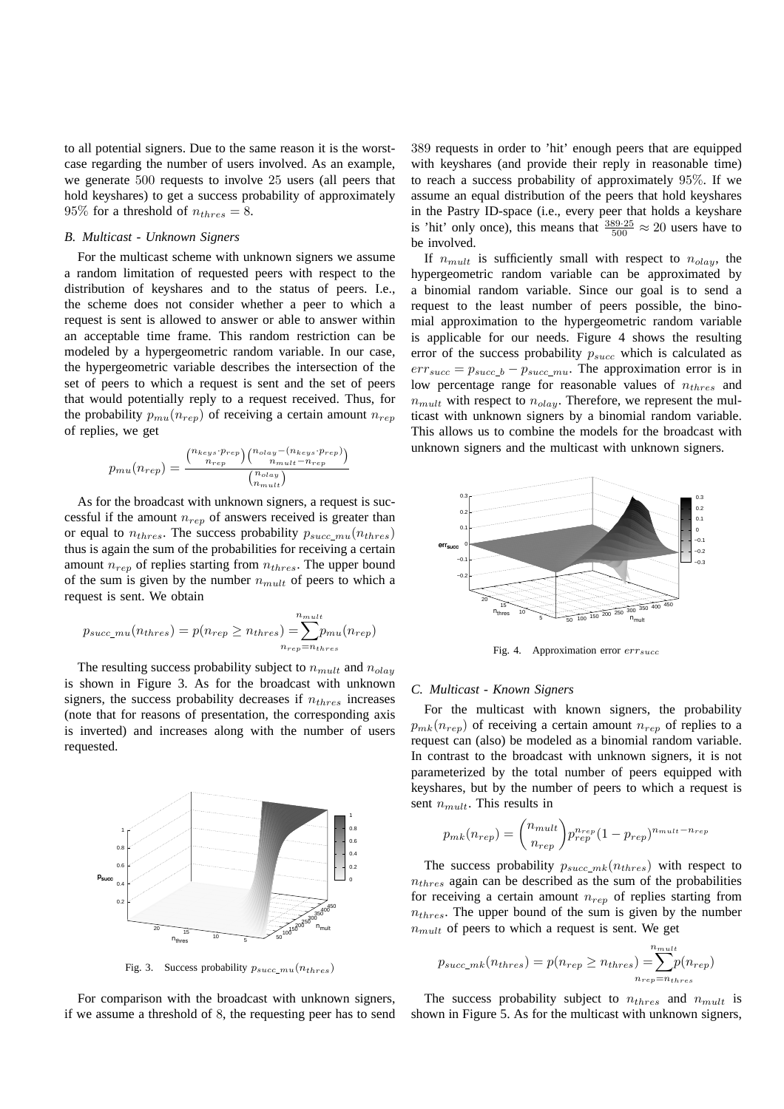to all potential signers. Due to the same reason it is the worstcase regarding the number of users involved. As an example, we generate 500 requests to involve 25 users (all peers that hold keyshares) to get a success probability of approximately 95% for a threshold of  $n_{thres} = 8$ .

## *B. Multicast - Unknown Signers*

For the multicast scheme with unknown signers we assume a random limitation of requested peers with respect to the distribution of keyshares and to the status of peers. I.e., the scheme does not consider whether a peer to which a request is sent is allowed to answer or able to answer within an acceptable time frame. This random restriction can be modeled by a hypergeometric random variable. In our case, the hypergeometric variable describes the intersection of the set of peers to which a request is sent and the set of peers that would potentially reply to a request received. Thus, for the probability  $p_{mu}(n_{ren})$  of receiving a certain amount  $n_{ren}$ of replies, we get

$$
p_{mu}(n_{rep}) = \frac{\binom{n_{keys} \cdot p_{rep}}{n_{rep}} \binom{n_{olay} - (n_{keys} \cdot p_{rep})}{n_{mult} - n_{rep}}}{\binom{n_{olay}}{n_{mult}}}
$$

As for the broadcast with unknown signers, a request is successful if the amount  $n_{ren}$  of answers received is greater than or equal to  $n_{thres}$ . The success probability  $p_{succ\_mu}(n_{thres})$ thus is again the sum of the probabilities for receiving a certain amount  $n_{rep}$  of replies starting from  $n_{thres}$ . The upper bound of the sum is given by the number  $n_{mult}$  of peers to which a request is sent. We obtain

$$
p_{succ\_mu}(n_{thres}) = p(n_{rep} \ge n_{thres}) = \sum_{n_{rep} = n_{thres}}^{n_{mult}} p_{mu}(n_{rep})
$$

The resulting success probability subject to  $n_{mult}$  and  $n_{olav}$ is shown in Figure 3. As for the broadcast with unknown signers, the success probability decreases if  $n_{thres}$  increases (note that for reasons of presentation, the corresponding axis is inverted) and increases along with the number of users requested.



Fig. 3. Success probability  $p_{succ\_mu}(n_{thres})$ 

For comparison with the broadcast with unknown signers, if we assume a threshold of 8, the requesting peer has to send 389 requests in order to 'hit' enough peers that are equipped with keyshares (and provide their reply in reasonable time) to reach a success probability of approximately 95%. If we assume an equal distribution of the peers that hold keyshares in the Pastry ID-space (i.e., every peer that holds a keyshare is 'hit' only once), this means that  $\frac{389.25}{500} \approx 20$  users have to be involved.

If  $n_{mult}$  is sufficiently small with respect to  $n_{olav}$ , the hypergeometric random variable can be approximated by a binomial random variable. Since our goal is to send a request to the least number of peers possible, the binomial approximation to the hypergeometric random variable is applicable for our needs. Figure 4 shows the resulting error of the success probability  $p_{succ}$  which is calculated as  $err_{succ} = p_{succ\_b} - p_{succ\_mu}$ . The approximation error is in low percentage range for reasonable values of  $n_{thres}$  and  $n_{mult}$  with respect to  $n_{olay}$ . Therefore, we represent the multicast with unknown signers by a binomial random variable. This allows us to combine the models for the broadcast with unknown signers and the multicast with unknown signers.



Fig. 4. Approximation error  $err_{succ}$ 

#### *C. Multicast - Known Signers*

For the multicast with known signers, the probability  $p_{mk}(n_{rep})$  of receiving a certain amount  $n_{rep}$  of replies to a request can (also) be modeled as a binomial random variable. In contrast to the broadcast with unknown signers, it is not parameterized by the total number of peers equipped with keyshares, but by the number of peers to which a request is sent  $n_{mult}$ . This results in

$$
p_{mk}(n_{rep}) = {n_{mult} \choose n_{rep}} p_{rep}^{n_{rep}} (1 - p_{rep})^{n_{mult} - n_{rep}}
$$

The success probability  $p_{succ\_mk}(n_{thres})$  with respect to  $n_{thres}$  again can be described as the sum of the probabilities for receiving a certain amount  $n_{rep}$  of replies starting from  $n_{thres}$ . The upper bound of the sum is given by the number  $n_{mult}$  of peers to which a request is sent. We get

$$
p_{succ\_mk}(n_{thres}) = p(n_{rep} \ge n_{thres}) = \sum_{n_{rep}=n_{thres}}^{n_{mult}} p(n_{rep})
$$

The success probability subject to  $n_{thres}$  and  $n_{mult}$  is shown in Figure 5. As for the multicast with unknown signers,